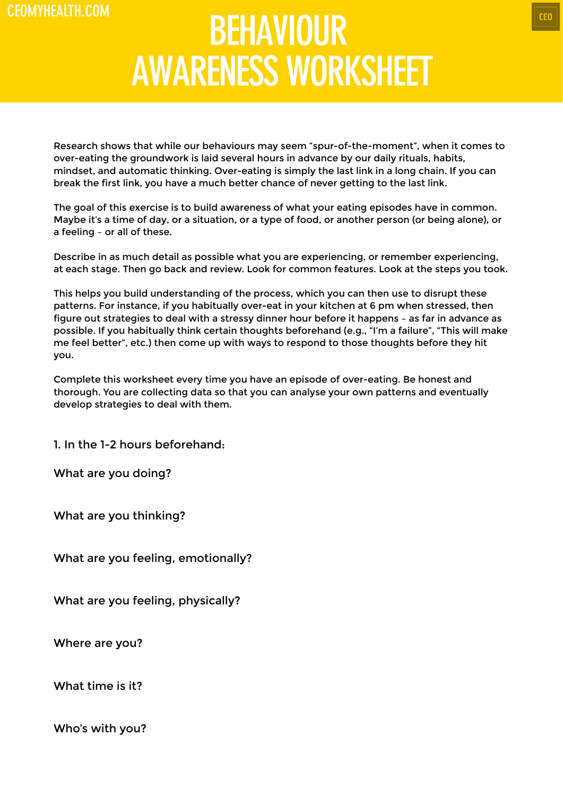## **BEHAVIOUR AWARENESS WORKSHEET**

Research shows that while our behaviours may seem "spur-of-the-moment", when it comes to over-eating the groundwork is laid several hours in advance by our daily rituals, habits, mindset, and automatic thinking. Over-eating is simply the last link in a long chain. If you can break the first link, you have a much better chance of never getting to the last link.

The goal of this exercise is to build awareness of what your eating episodes have in common. Maybe it's a time of day, or a situation, or a type of food, or another person (or being alone), or a feeling – or all of these.

Describe in as much detail as possible what you are experiencing, or remember experiencing, at each stage. Then go back and review. Look for common features. Look at the steps you took.

This helps you build understanding of the process, which you can then use to disrupt these patterns. For instance, if you habitually over-eat in your kitchen at 6 pm when stressed, then figure out strategies to deal with a stressy dinner hour before it happens – as far in advance as possible. If you habitually think certain thoughts beforehand (e.g., "I'm a failure", "This will make me feel better", etc.) then come up with ways to respond to those thoughts before they hit you.

Complete this worksheet every time you have an episode of over-eating. Be honest and thorough. You are collecting data so that you can analyse your own patterns and eventually develop strategies to deal with them.

1. In the 1-2 hours beforehand:

What are you doing?

What are you thinking?

What are you feeling, emotionally?

What are you feeling, physically?

Where are you?

What time is it?

Who's with you?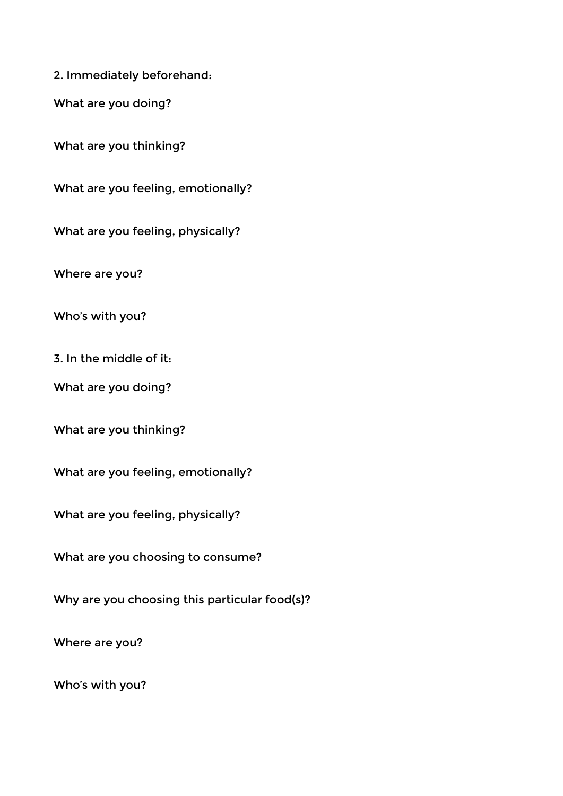2. Immediately beforehand:

What are you doing?

What are you thinking?

What are you feeling, emotionally?

What are you feeling, physically?

Where are you?

Who's with you?

3. In the middle of it:

What are you doing?

What are you thinking?

What are you feeling, emotionally?

What are you feeling, physically?

What are you choosing to consume?

Why are you choosing this particular food(s)?

Where are you?

Who's with you?